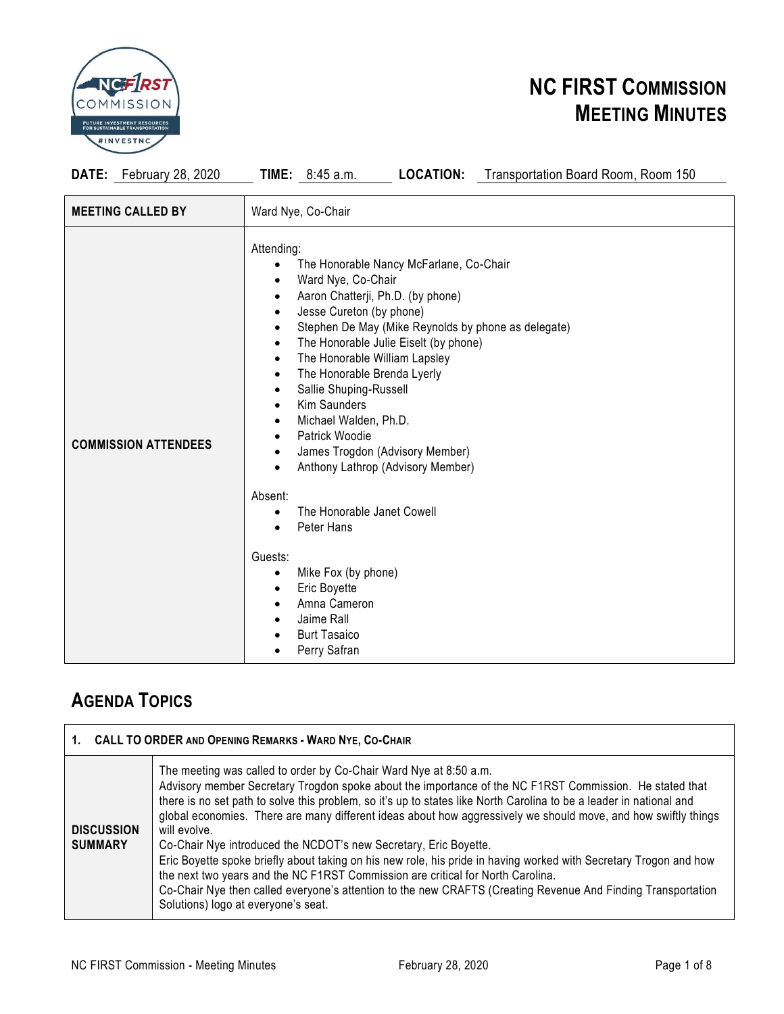

**DATE:** February 28, 2020 **TIME:** 8:45 a.m. **LOCATION:** Transportation Board Room, Room 150

| <b>MEETING CALLED BY</b>    | Ward Nye, Co-Chair                                                                                                                                                                                                                                                                                                                                                                                                                                                                                                                                                                                                                                                                                                                                                                     |
|-----------------------------|----------------------------------------------------------------------------------------------------------------------------------------------------------------------------------------------------------------------------------------------------------------------------------------------------------------------------------------------------------------------------------------------------------------------------------------------------------------------------------------------------------------------------------------------------------------------------------------------------------------------------------------------------------------------------------------------------------------------------------------------------------------------------------------|
| <b>COMMISSION ATTENDEES</b> | Attending:<br>The Honorable Nancy McFarlane, Co-Chair<br>٠<br>Ward Nye, Co-Chair<br>$\bullet$<br>Aaron Chatterji, Ph.D. (by phone)<br>٠<br>Jesse Cureton (by phone)<br>$\bullet$<br>Stephen De May (Mike Reynolds by phone as delegate)<br>$\bullet$<br>The Honorable Julie Eiselt (by phone)<br>$\bullet$<br>The Honorable William Lapsley<br>$\bullet$<br>The Honorable Brenda Lyerly<br>$\bullet$<br>Sallie Shuping-Russell<br>$\bullet$<br><b>Kim Saunders</b><br>$\bullet$<br>Michael Walden, Ph.D.<br>$\bullet$<br>Patrick Woodie<br>$\bullet$<br>James Trogdon (Advisory Member)<br>$\bullet$<br>Anthony Lathrop (Advisory Member)<br>$\bullet$<br>Absent:<br>The Honorable Janet Cowell<br>$\bullet$<br>Peter Hans<br>$\bullet$<br>Guests:<br>Mike Fox (by phone)<br>$\bullet$ |
|                             | Eric Boyette<br>$\bullet$<br>Amna Cameron<br>$\bullet$<br>Jaime Rall<br><b>Burt Tasaico</b><br>Perry Safran                                                                                                                                                                                                                                                                                                                                                                                                                                                                                                                                                                                                                                                                            |

### **AGENDA TOPICS**

|                                     | 1. CALL TO ORDER AND OPENING REMARKS - WARD NYE, CO-CHAIR                                                                                                                                                                                                                                                                                                                                                                                                                                                                                                                                                                                                                                                                                                                                                                                                                |  |  |  |
|-------------------------------------|--------------------------------------------------------------------------------------------------------------------------------------------------------------------------------------------------------------------------------------------------------------------------------------------------------------------------------------------------------------------------------------------------------------------------------------------------------------------------------------------------------------------------------------------------------------------------------------------------------------------------------------------------------------------------------------------------------------------------------------------------------------------------------------------------------------------------------------------------------------------------|--|--|--|
| <b>DISCUSSION</b><br><b>SUMMARY</b> | The meeting was called to order by Co-Chair Ward Nye at 8:50 a.m.<br>Advisory member Secretary Trogdon spoke about the importance of the NC F1RST Commission. He stated that<br>there is no set path to solve this problem, so it's up to states like North Carolina to be a leader in national and<br>global economies. There are many different ideas about how aggressively we should move, and how swiftly things<br>will evolve.<br>Co-Chair Nye introduced the NCDOT's new Secretary, Eric Boyette.<br>Eric Boyette spoke briefly about taking on his new role, his pride in having worked with Secretary Trogon and how<br>the next two years and the NC F1RST Commission are critical for North Carolina.<br>Co-Chair Nye then called everyone's attention to the new CRAFTS (Creating Revenue And Finding Transportation<br>Solutions) logo at everyone's seat. |  |  |  |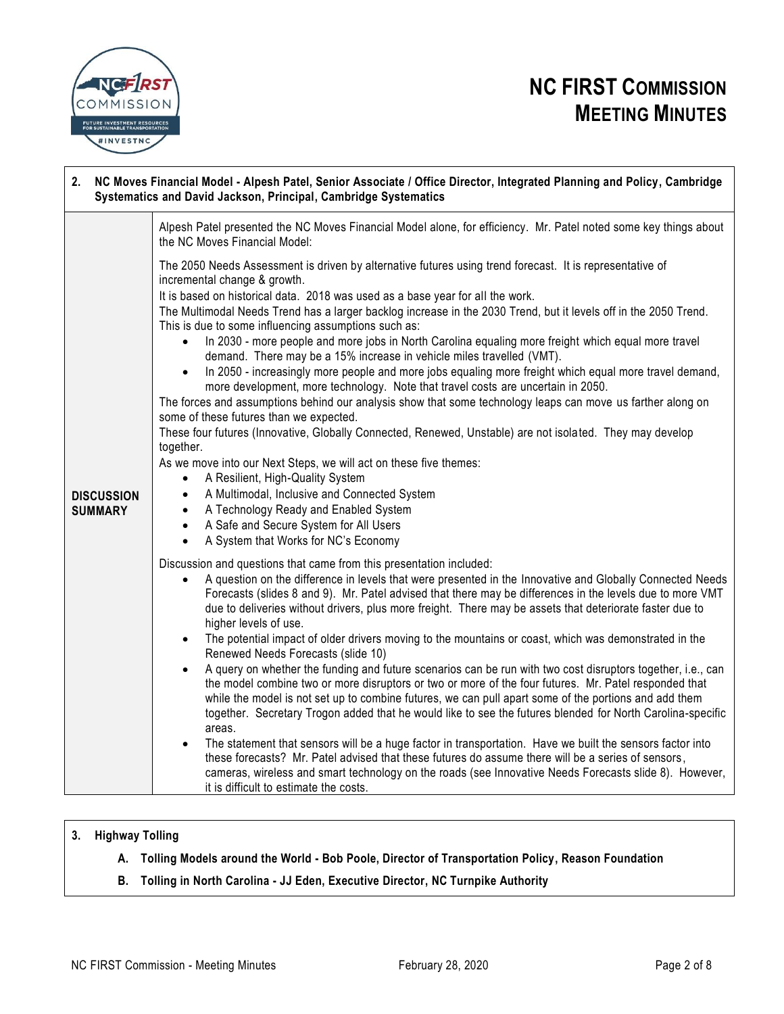

# **2. NC Moves Financial Model - Alpesh Patel, Senior Associate / Office Director, Integrated Planning and Policy, Cambridge Systematics and David Jackson, Principal, Cambridge Systematics**

|                                     | Alpesh Patel presented the NC Moves Financial Model alone, for efficiency. Mr. Patel noted some key things about<br>the NC Moves Financial Model:                                                                                                                                                                                                                                                                                                                                                                                                                                                                                                                                                                                                                                                                                                                                                                                                                                                                                                                                                                                                                                                                                                                                                                                                                                                                                                        |
|-------------------------------------|----------------------------------------------------------------------------------------------------------------------------------------------------------------------------------------------------------------------------------------------------------------------------------------------------------------------------------------------------------------------------------------------------------------------------------------------------------------------------------------------------------------------------------------------------------------------------------------------------------------------------------------------------------------------------------------------------------------------------------------------------------------------------------------------------------------------------------------------------------------------------------------------------------------------------------------------------------------------------------------------------------------------------------------------------------------------------------------------------------------------------------------------------------------------------------------------------------------------------------------------------------------------------------------------------------------------------------------------------------------------------------------------------------------------------------------------------------|
| <b>DISCUSSION</b><br><b>SUMMARY</b> | The 2050 Needs Assessment is driven by alternative futures using trend forecast. It is representative of<br>incremental change & growth.<br>It is based on historical data. 2018 was used as a base year for all the work.<br>The Multimodal Needs Trend has a larger backlog increase in the 2030 Trend, but it levels off in the 2050 Trend.<br>This is due to some influencing assumptions such as:<br>In 2030 - more people and more jobs in North Carolina equaling more freight which equal more travel<br>$\bullet$<br>demand. There may be a 15% increase in vehicle miles travelled (VMT).<br>In 2050 - increasingly more people and more jobs equaling more freight which equal more travel demand,<br>$\bullet$<br>more development, more technology. Note that travel costs are uncertain in 2050.<br>The forces and assumptions behind our analysis show that some technology leaps can move us farther along on<br>some of these futures than we expected.<br>These four futures (Innovative, Globally Connected, Renewed, Unstable) are not isolated. They may develop<br>together.<br>As we move into our Next Steps, we will act on these five themes:<br>A Resilient, High-Quality System<br>$\bullet$<br>A Multimodal, Inclusive and Connected System<br>$\bullet$<br>A Technology Ready and Enabled System<br>$\bullet$<br>A Safe and Secure System for All Users<br>$\bullet$<br>A System that Works for NC's Economy<br>$\bullet$  |
|                                     | Discussion and questions that came from this presentation included:<br>A question on the difference in levels that were presented in the Innovative and Globally Connected Needs<br>$\bullet$<br>Forecasts (slides 8 and 9). Mr. Patel advised that there may be differences in the levels due to more VMT<br>due to deliveries without drivers, plus more freight. There may be assets that deteriorate faster due to<br>higher levels of use.<br>The potential impact of older drivers moving to the mountains or coast, which was demonstrated in the<br>$\bullet$<br>Renewed Needs Forecasts (slide 10)<br>A query on whether the funding and future scenarios can be run with two cost disruptors together, i.e., can<br>$\bullet$<br>the model combine two or more disruptors or two or more of the four futures. Mr. Patel responded that<br>while the model is not set up to combine futures, we can pull apart some of the portions and add them<br>together. Secretary Trogon added that he would like to see the futures blended for North Carolina-specific<br>areas.<br>The statement that sensors will be a huge factor in transportation. Have we built the sensors factor into<br>these forecasts? Mr. Patel advised that these futures do assume there will be a series of sensors,<br>cameras, wireless and smart technology on the roads (see Innovative Needs Forecasts slide 8). However,<br>it is difficult to estimate the costs. |

### **3. Highway Tolling**

- **A. Tolling Models around the World - Bob Poole, Director of Transportation Policy, Reason Foundation**
- **B. Tolling in North Carolina - JJ Eden, Executive Director, NC Turnpike Authority**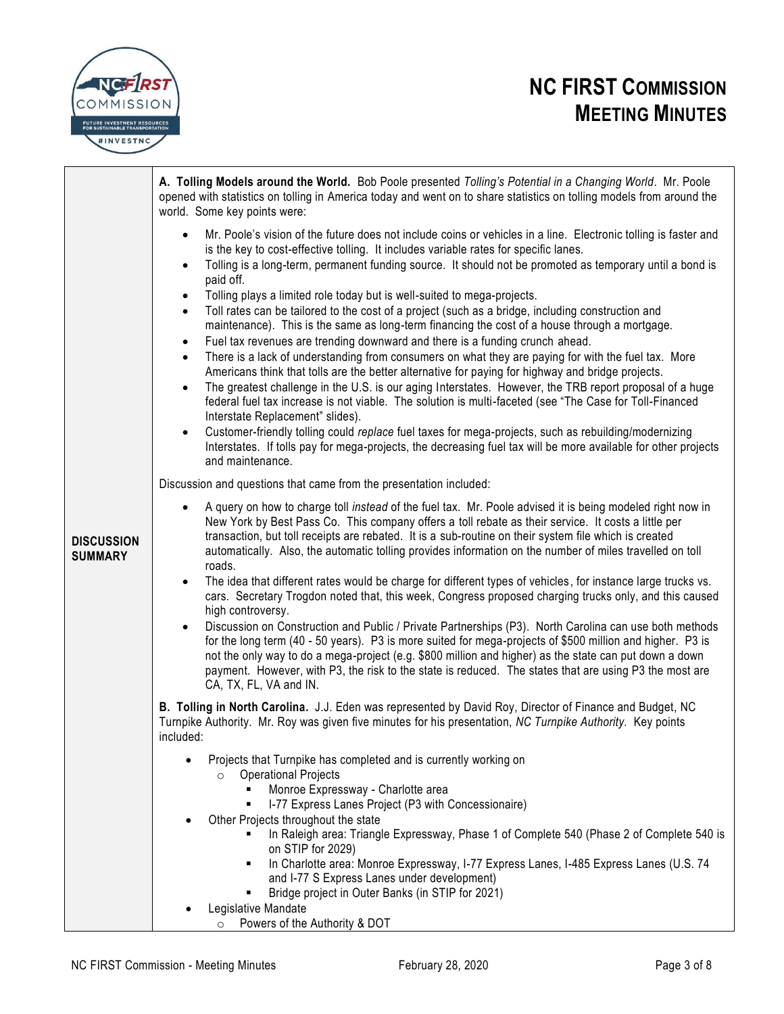

|                              | A. Tolling Models around the World. Bob Poole presented Tolling's Potential in a Changing World. Mr. Poole<br>opened with statistics on tolling in America today and went on to share statistics on tolling models from around the<br>world. Some key points were:                                                                                                                                                                                                                                                                                                                                                                                                                                                                                                                                                                                                                                                                                                                                                                                                                                                                                                                                                                                                                                                                                                                                                                                                                                                            |
|------------------------------|-------------------------------------------------------------------------------------------------------------------------------------------------------------------------------------------------------------------------------------------------------------------------------------------------------------------------------------------------------------------------------------------------------------------------------------------------------------------------------------------------------------------------------------------------------------------------------------------------------------------------------------------------------------------------------------------------------------------------------------------------------------------------------------------------------------------------------------------------------------------------------------------------------------------------------------------------------------------------------------------------------------------------------------------------------------------------------------------------------------------------------------------------------------------------------------------------------------------------------------------------------------------------------------------------------------------------------------------------------------------------------------------------------------------------------------------------------------------------------------------------------------------------------|
|                              | Mr. Poole's vision of the future does not include coins or vehicles in a line. Electronic tolling is faster and<br>$\bullet$<br>is the key to cost-effective tolling. It includes variable rates for specific lanes.<br>Tolling is a long-term, permanent funding source. It should not be promoted as temporary until a bond is<br>$\bullet$<br>paid off.<br>Tolling plays a limited role today but is well-suited to mega-projects.<br>$\bullet$<br>Toll rates can be tailored to the cost of a project (such as a bridge, including construction and<br>$\bullet$<br>maintenance). This is the same as long-term financing the cost of a house through a mortgage.<br>Fuel tax revenues are trending downward and there is a funding crunch ahead.<br>$\bullet$<br>There is a lack of understanding from consumers on what they are paying for with the fuel tax. More<br>$\bullet$<br>Americans think that tolls are the better alternative for paying for highway and bridge projects.<br>The greatest challenge in the U.S. is our aging Interstates. However, the TRB report proposal of a huge<br>$\bullet$<br>federal fuel tax increase is not viable. The solution is multi-faceted (see "The Case for Toll-Financed<br>Interstate Replacement" slides).<br>Customer-friendly tolling could replace fuel taxes for mega-projects, such as rebuilding/modernizing<br>$\bullet$<br>Interstates. If tolls pay for mega-projects, the decreasing fuel tax will be more available for other projects<br>and maintenance. |
|                              | Discussion and questions that came from the presentation included:                                                                                                                                                                                                                                                                                                                                                                                                                                                                                                                                                                                                                                                                                                                                                                                                                                                                                                                                                                                                                                                                                                                                                                                                                                                                                                                                                                                                                                                            |
| <b>DISCUSSION</b><br>SUMMARY | A query on how to charge toll instead of the fuel tax. Mr. Poole advised it is being modeled right now in<br>$\bullet$<br>New York by Best Pass Co. This company offers a toll rebate as their service. It costs a little per<br>transaction, but toll receipts are rebated. It is a sub-routine on their system file which is created<br>automatically. Also, the automatic tolling provides information on the number of miles travelled on toll<br>roads.<br>The idea that different rates would be charge for different types of vehicles, for instance large trucks vs.<br>$\bullet$<br>cars. Secretary Trogdon noted that, this week, Congress proposed charging trucks only, and this caused<br>high controversy.<br>Discussion on Construction and Public / Private Partnerships (P3). North Carolina can use both methods<br>for the long term (40 - 50 years). P3 is more suited for mega-projects of \$500 million and higher. P3 is<br>not the only way to do a mega-project (e.g. \$800 million and higher) as the state can put down a down<br>payment. However, with P3, the risk to the state is reduced. The states that are using P3 the most are<br>CA, TX, FL, VA and IN.                                                                                                                                                                                                                                                                                                                                 |
|                              | B. Tolling in North Carolina. J.J. Eden was represented by David Roy, Director of Finance and Budget, NC<br>Turnpike Authority. Mr. Roy was given five minutes for his presentation, NC Turnpike Authority. Key points<br>included:                                                                                                                                                                                                                                                                                                                                                                                                                                                                                                                                                                                                                                                                                                                                                                                                                                                                                                                                                                                                                                                                                                                                                                                                                                                                                           |
|                              | Projects that Turnpike has completed and is currently working on<br><b>Operational Projects</b><br>$\circ$<br>Monroe Expressway - Charlotte area<br>I-77 Express Lanes Project (P3 with Concessionaire)<br>Other Projects throughout the state<br>In Raleigh area: Triangle Expressway, Phase 1 of Complete 540 (Phase 2 of Complete 540 is<br>on STIP for 2029)<br>In Charlotte area: Monroe Expressway, I-77 Express Lanes, I-485 Express Lanes (U.S. 74                                                                                                                                                                                                                                                                                                                                                                                                                                                                                                                                                                                                                                                                                                                                                                                                                                                                                                                                                                                                                                                                    |
|                              | and I-77 S Express Lanes under development)<br>Bridge project in Outer Banks (in STIP for 2021)<br>Legislative Mandate<br>Powers of the Authority & DOT<br>$\circ$                                                                                                                                                                                                                                                                                                                                                                                                                                                                                                                                                                                                                                                                                                                                                                                                                                                                                                                                                                                                                                                                                                                                                                                                                                                                                                                                                            |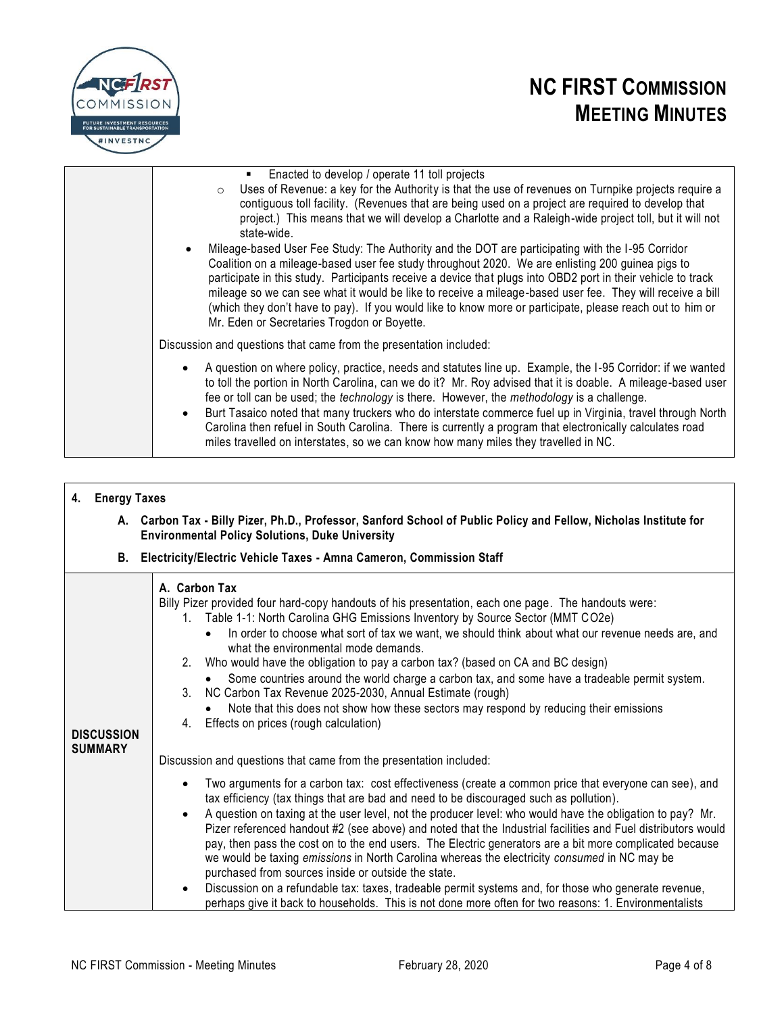

| Enacted to develop / operate 11 toll projects<br>$\blacksquare$<br>o Uses of Revenue: a key for the Authority is that the use of revenues on Turnpike projects require a<br>contiguous toll facility. (Revenues that are being used on a project are required to develop that<br>project.) This means that we will develop a Charlotte and a Raleigh-wide project toll, but it will not<br>state-wide.<br>Mileage-based User Fee Study: The Authority and the DOT are participating with the I-95 Corridor<br>Coalition on a mileage-based user fee study throughout 2020. We are enlisting 200 guinea pigs to<br>participate in this study. Participants receive a device that plugs into OBD2 port in their vehicle to track<br>mileage so we can see what it would be like to receive a mileage-based user fee. They will receive a bill<br>(which they don't have to pay). If you would like to know more or participate, please reach out to him or<br>Mr. Eden or Secretaries Trogdon or Boyette. |
|---------------------------------------------------------------------------------------------------------------------------------------------------------------------------------------------------------------------------------------------------------------------------------------------------------------------------------------------------------------------------------------------------------------------------------------------------------------------------------------------------------------------------------------------------------------------------------------------------------------------------------------------------------------------------------------------------------------------------------------------------------------------------------------------------------------------------------------------------------------------------------------------------------------------------------------------------------------------------------------------------------|
|                                                                                                                                                                                                                                                                                                                                                                                                                                                                                                                                                                                                                                                                                                                                                                                                                                                                                                                                                                                                         |
| Discussion and questions that came from the presentation included:                                                                                                                                                                                                                                                                                                                                                                                                                                                                                                                                                                                                                                                                                                                                                                                                                                                                                                                                      |
| A question on where policy, practice, needs and statutes line up. Example, the I-95 Corridor: if we wanted<br>$\bullet$<br>to toll the portion in North Carolina, can we do it? Mr. Roy advised that it is doable. A mileage-based user<br>fee or toll can be used; the <i>technology</i> is there. However, the <i>methodology</i> is a challenge.<br>Burt Tasaico noted that many truckers who do interstate commerce fuel up in Virginia, travel through North<br>$\bullet$<br>Carolina then refuel in South Carolina. There is currently a program that electronically calculates road<br>miles travelled on interstates, so we can know how many miles they travelled in NC.                                                                                                                                                                                                                                                                                                                       |

### **4. Energy Taxes**

**A. Carbon Tax - Billy Pizer, Ph.D., Professor, Sanford School of Public Policy and Fellow, Nicholas Institute for Environmental Policy Solutions, Duke University** 

### **B. Electricity/Electric Vehicle Taxes - Amna Cameron, Commission Staff**

| <b>DISCUSSION</b><br><b>SUMMARY</b> | A. Carbon Tax<br>Billy Pizer provided four hard-copy handouts of his presentation, each one page. The handouts were:<br>1. Table 1-1: North Carolina GHG Emissions Inventory by Source Sector (MMT CO2e)<br>In order to choose what sort of tax we want, we should think about what our revenue needs are, and<br>what the environmental mode demands.<br>2. Who would have the obligation to pay a carbon tax? (based on CA and BC design)<br>Some countries around the world charge a carbon tax, and some have a tradeable permit system.<br>3. NC Carbon Tax Revenue 2025-2030, Annual Estimate (rough)<br>Note that this does not show how these sectors may respond by reducing their emissions<br>4. Effects on prices (rough calculation)                                 |
|-------------------------------------|-----------------------------------------------------------------------------------------------------------------------------------------------------------------------------------------------------------------------------------------------------------------------------------------------------------------------------------------------------------------------------------------------------------------------------------------------------------------------------------------------------------------------------------------------------------------------------------------------------------------------------------------------------------------------------------------------------------------------------------------------------------------------------------|
|                                     | Discussion and questions that came from the presentation included:<br>Two arguments for a carbon tax: cost effectiveness (create a common price that everyone can see), and<br>tax efficiency (tax things that are bad and need to be discouraged such as pollution).<br>A question on taxing at the user level, not the producer level: who would have the obligation to pay? Mr.<br>$\bullet$<br>Pizer referenced handout #2 (see above) and noted that the Industrial facilities and Fuel distributors would<br>pay, then pass the cost on to the end users. The Electric generators are a bit more complicated because<br>we would be taxing emissions in North Carolina whereas the electricity consumed in NC may be<br>purchased from sources inside or outside the state. |
|                                     | Discussion on a refundable tax: taxes, tradeable permit systems and, for those who generate revenue,<br>$\bullet$<br>perhaps give it back to households. This is not done more often for two reasons: 1. Environmentalists                                                                                                                                                                                                                                                                                                                                                                                                                                                                                                                                                        |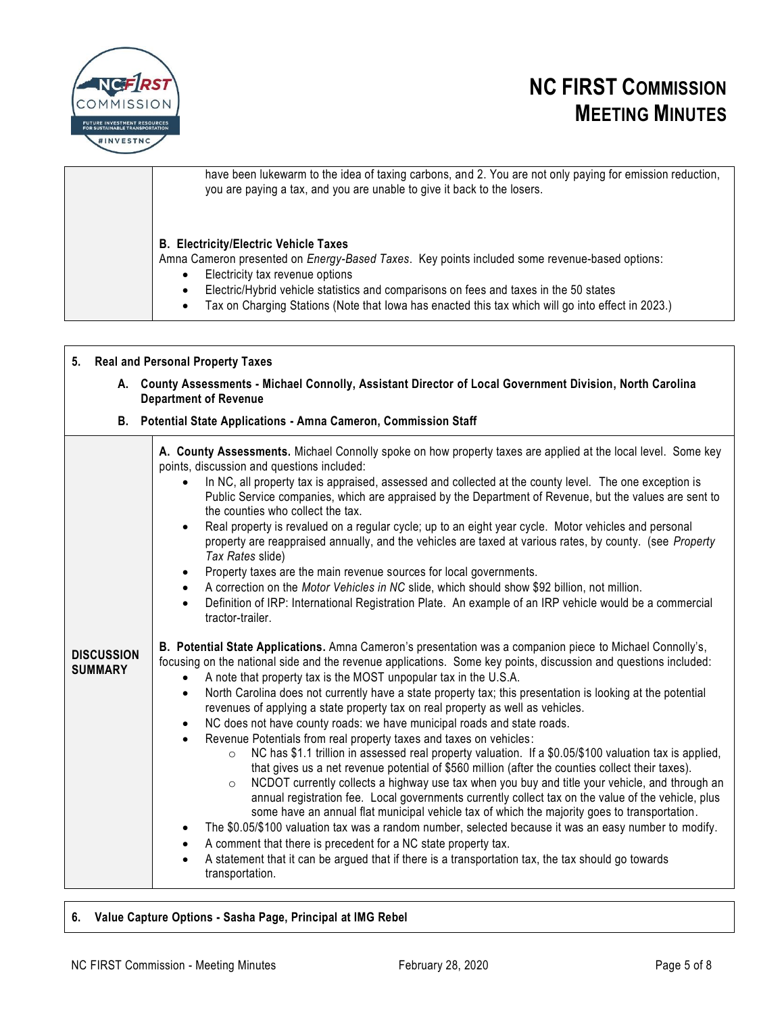

| have been lukewarm to the idea of taxing carbons, and 2. You are not only paying for emission reduction,<br>you are paying a tax, and you are unable to give it back to the losers.                                                                                                                                                                                                              |
|--------------------------------------------------------------------------------------------------------------------------------------------------------------------------------------------------------------------------------------------------------------------------------------------------------------------------------------------------------------------------------------------------|
| <b>B. Electricity/Electric Vehicle Taxes</b><br>Amna Cameron presented on Energy-Based Taxes. Key points included some revenue-based options:<br>Electricity tax revenue options<br>Electric/Hybrid vehicle statistics and comparisons on fees and taxes in the 50 states<br>٠<br>Tax on Charging Stations (Note that lowa has enacted this tax which will go into effect in 2023.)<br>$\bullet$ |

### **5. Real and Personal Property Taxes**

**A. County Assessments - Michael Connolly, Assistant Director of Local Government Division, North Carolina Department of Revenue**

|  |  | B. Potential State Applications - Amna Cameron, Commission Staff |
|--|--|------------------------------------------------------------------|
|  |  |                                                                  |

|                                     | A. County Assessments. Michael Connolly spoke on how property taxes are applied at the local level. Some key<br>points, discussion and questions included:<br>In NC, all property tax is appraised, assessed and collected at the county level. The one exception is<br>Public Service companies, which are appraised by the Department of Revenue, but the values are sent to<br>the counties who collect the tax.<br>Real property is revalued on a regular cycle; up to an eight year cycle. Motor vehicles and personal<br>$\bullet$<br>property are reappraised annually, and the vehicles are taxed at various rates, by county. (see Property<br>Tax Rates slide)<br>Property taxes are the main revenue sources for local governments.<br>$\bullet$<br>A correction on the Motor Vehicles in NC slide, which should show \$92 billion, not million.<br>$\bullet$<br>Definition of IRP: International Registration Plate. An example of an IRP vehicle would be a commercial<br>$\bullet$<br>tractor-trailer.                                                                                                                                                                                                                                                                                                                                                                                                                                                                                                                                                                          |
|-------------------------------------|-----------------------------------------------------------------------------------------------------------------------------------------------------------------------------------------------------------------------------------------------------------------------------------------------------------------------------------------------------------------------------------------------------------------------------------------------------------------------------------------------------------------------------------------------------------------------------------------------------------------------------------------------------------------------------------------------------------------------------------------------------------------------------------------------------------------------------------------------------------------------------------------------------------------------------------------------------------------------------------------------------------------------------------------------------------------------------------------------------------------------------------------------------------------------------------------------------------------------------------------------------------------------------------------------------------------------------------------------------------------------------------------------------------------------------------------------------------------------------------------------------------------------------------------------------------------------------------------------|
| <b>DISCUSSION</b><br><b>SUMMARY</b> | B. Potential State Applications. Amna Cameron's presentation was a companion piece to Michael Connolly's,<br>focusing on the national side and the revenue applications. Some key points, discussion and questions included:<br>A note that property tax is the MOST unpopular tax in the U.S.A.<br>$\bullet$<br>North Carolina does not currently have a state property tax; this presentation is looking at the potential<br>$\bullet$<br>revenues of applying a state property tax on real property as well as vehicles.<br>NC does not have county roads: we have municipal roads and state roads.<br>$\bullet$<br>Revenue Potentials from real property taxes and taxes on vehicles:<br>$\bullet$<br>NC has \$1.1 trillion in assessed real property valuation. If a \$0.05/\$100 valuation tax is applied,<br>$\circ$<br>that gives us a net revenue potential of \$560 million (after the counties collect their taxes).<br>NCDOT currently collects a highway use tax when you buy and title your vehicle, and through an<br>$\circ$<br>annual registration fee. Local governments currently collect tax on the value of the vehicle, plus<br>some have an annual flat municipal vehicle tax of which the majority goes to transportation.<br>The \$0.05/\$100 valuation tax was a random number, selected because it was an easy number to modify.<br>$\bullet$<br>A comment that there is precedent for a NC state property tax.<br>$\bullet$<br>A statement that it can be argued that if there is a transportation tax, the tax should go towards<br>$\bullet$<br>transportation. |

### **6. Value Capture Options - Sasha Page, Principal at IMG Rebel**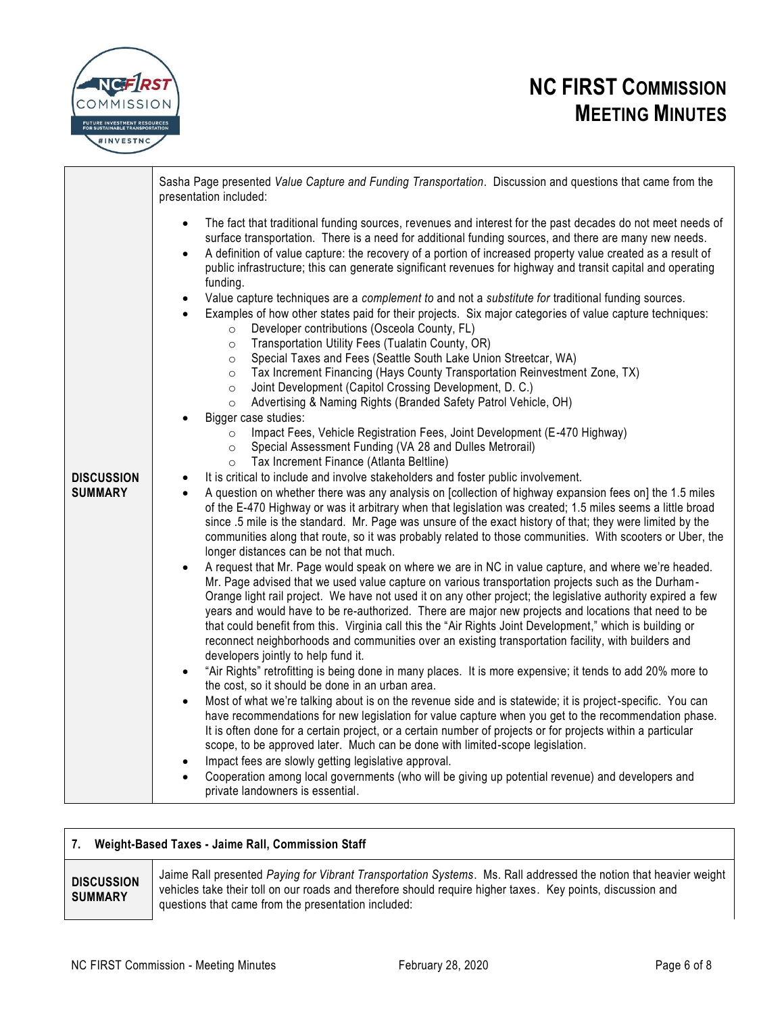



|                                     | Sasha Page presented Value Capture and Funding Transportation. Discussion and questions that came from the<br>presentation included:                                                                                                                                                                                                                                                                                                                                                                                                                                                                                                                                                                                                                                                                                                                                                                                                                                                                                                                                                                                                                                                                                                                                                                                                                                                                                                                                                                                                                                                                                                                                                                                                                                                                                                                                                                                                                                                                                                                                                                                                                                                                                                                                                                                                                                                                                                                                                                                                                                                                                                                                                                                                                                                                                                                                                                                                                                                                                                                                                                                                                                                                                                                                                                                                                                                                                                                                                                                                                              |
|-------------------------------------|-------------------------------------------------------------------------------------------------------------------------------------------------------------------------------------------------------------------------------------------------------------------------------------------------------------------------------------------------------------------------------------------------------------------------------------------------------------------------------------------------------------------------------------------------------------------------------------------------------------------------------------------------------------------------------------------------------------------------------------------------------------------------------------------------------------------------------------------------------------------------------------------------------------------------------------------------------------------------------------------------------------------------------------------------------------------------------------------------------------------------------------------------------------------------------------------------------------------------------------------------------------------------------------------------------------------------------------------------------------------------------------------------------------------------------------------------------------------------------------------------------------------------------------------------------------------------------------------------------------------------------------------------------------------------------------------------------------------------------------------------------------------------------------------------------------------------------------------------------------------------------------------------------------------------------------------------------------------------------------------------------------------------------------------------------------------------------------------------------------------------------------------------------------------------------------------------------------------------------------------------------------------------------------------------------------------------------------------------------------------------------------------------------------------------------------------------------------------------------------------------------------------------------------------------------------------------------------------------------------------------------------------------------------------------------------------------------------------------------------------------------------------------------------------------------------------------------------------------------------------------------------------------------------------------------------------------------------------------------------------------------------------------------------------------------------------------------------------------------------------------------------------------------------------------------------------------------------------------------------------------------------------------------------------------------------------------------------------------------------------------------------------------------------------------------------------------------------------------------------------------------------------------------------------------------------------|
| <b>DISCUSSION</b><br><b>SUMMARY</b> | The fact that traditional funding sources, revenues and interest for the past decades do not meet needs of<br>$\bullet$<br>surface transportation. There is a need for additional funding sources, and there are many new needs.<br>A definition of value capture: the recovery of a portion of increased property value created as a result of<br>$\bullet$<br>public infrastructure; this can generate significant revenues for highway and transit capital and operating<br>funding.<br>Value capture techniques are a complement to and not a substitute for traditional funding sources.<br>$\bullet$<br>Examples of how other states paid for their projects. Six major categories of value capture techniques:<br>Developer contributions (Osceola County, FL)<br>$\circ$<br>Transportation Utility Fees (Tualatin County, OR)<br>$\circ$<br>Special Taxes and Fees (Seattle South Lake Union Streetcar, WA)<br>$\circ$<br>Tax Increment Financing (Hays County Transportation Reinvestment Zone, TX)<br>$\circ$<br>Joint Development (Capitol Crossing Development, D. C.)<br>$\circ$<br>Advertising & Naming Rights (Branded Safety Patrol Vehicle, OH)<br>$\circ$<br>Bigger case studies:<br>Impact Fees, Vehicle Registration Fees, Joint Development (E-470 Highway)<br>$\circ$<br>Special Assessment Funding (VA 28 and Dulles Metrorail)<br>$\circ$<br>Tax Increment Finance (Atlanta Beltline)<br>$\circ$<br>It is critical to include and involve stakeholders and foster public involvement.<br>$\bullet$<br>A question on whether there was any analysis on [collection of highway expansion fees on] the 1.5 miles<br>of the E-470 Highway or was it arbitrary when that legislation was created; 1.5 miles seems a little broad<br>since .5 mile is the standard. Mr. Page was unsure of the exact history of that; they were limited by the<br>communities along that route, so it was probably related to those communities. With scooters or Uber, the<br>longer distances can be not that much.<br>A request that Mr. Page would speak on where we are in NC in value capture, and where we're headed.<br>$\bullet$<br>Mr. Page advised that we used value capture on various transportation projects such as the Durham-<br>Orange light rail project. We have not used it on any other project; the legislative authority expired a few<br>years and would have to be re-authorized. There are major new projects and locations that need to be<br>that could benefit from this. Virginia call this the "Air Rights Joint Development," which is building or<br>reconnect neighborhoods and communities over an existing transportation facility, with builders and<br>developers jointly to help fund it.<br>"Air Rights" retrofitting is being done in many places. It is more expensive; it tends to add 20% more to<br>$\bullet$<br>the cost, so it should be done in an urban area.<br>Most of what we're talking about is on the revenue side and is statewide; it is project-specific. You can<br>$\bullet$<br>have recommendations for new legislation for value capture when you get to the recommendation phase.<br>It is often done for a certain project, or a certain number of projects or for projects within a particular<br>scope, to be approved later. Much can be done with limited-scope legislation.<br>Impact fees are slowly getting legislative approval.<br>$\bullet$<br>Cooperation among local governments (who will be giving up potential revenue) and developers and<br>private landowners is essential. |

### **7. Weight-Based Taxes - Jaime Rall, Commission Staff**

#### **DISCUSSION SUMMARY**

Jaime Rall presented *Paying for Vibrant Transportation Systems*. Ms. Rall addressed the notion that heavier weight vehicles take their toll on our roads and therefore should require higher taxes. Key points, discussion and questions that came from the presentation included: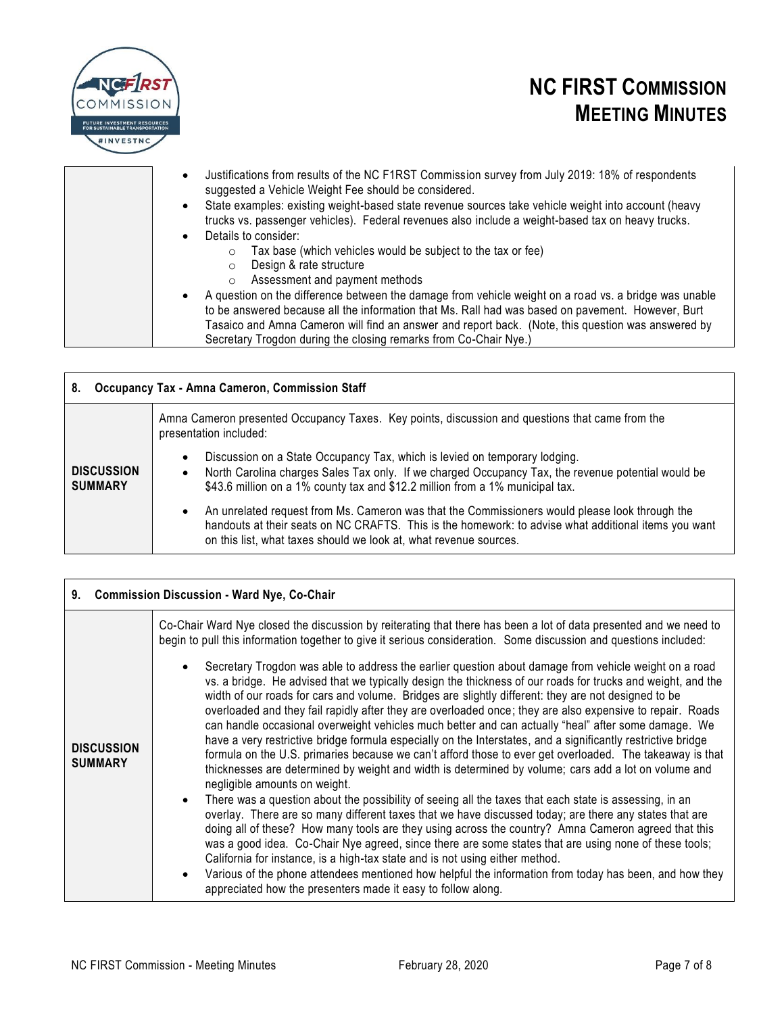

| $\bullet$<br>$\bullet$ | Justifications from results of the NC F1RST Commission survey from July 2019: 18% of respondents<br>suggested a Vehicle Weight Fee should be considered.<br>State examples: existing weight-based state revenue sources take vehicle weight into account (heavy |
|------------------------|-----------------------------------------------------------------------------------------------------------------------------------------------------------------------------------------------------------------------------------------------------------------|
|                        | trucks vs. passenger vehicles). Federal revenues also include a weight-based tax on heavy trucks.                                                                                                                                                               |
| $\bullet$              | Details to consider:                                                                                                                                                                                                                                            |
|                        | Tax base (which vehicles would be subject to the tax or fee)                                                                                                                                                                                                    |
|                        | Design & rate structure                                                                                                                                                                                                                                         |
|                        | Assessment and payment methods                                                                                                                                                                                                                                  |
| $\bullet$              | A question on the difference between the damage from vehicle weight on a road vs. a bridge was unable<br>to be answered because all the information that Ms. Rall had was based on pavement. However, Burt                                                      |
|                        | Tasaico and Amna Cameron will find an answer and report back. (Note, this question was answered by<br>Secretary Trogdon during the closing remarks from Co-Chair Nye.)                                                                                          |

### **8. Occupancy Tax - Amna Cameron, Commission Staff**

|                                     | Amna Cameron presented Occupancy Taxes. Key points, discussion and questions that came from the<br>presentation included:                                                                                                                                                                   |
|-------------------------------------|---------------------------------------------------------------------------------------------------------------------------------------------------------------------------------------------------------------------------------------------------------------------------------------------|
| <b>DISCUSSION</b><br><b>SUMMARY</b> | Discussion on a State Occupancy Tax, which is levied on temporary lodging.<br>$\bullet$<br>North Carolina charges Sales Tax only. If we charged Occupancy Tax, the revenue potential would be<br>$\bullet$<br>\$43.6 million on a 1% county tax and \$12.2 million from a 1% municipal tax. |
|                                     | An unrelated request from Ms. Cameron was that the Commissioners would please look through the<br>$\bullet$<br>handouts at their seats on NC CRAFTS. This is the homework: to advise what additional items you want<br>on this list, what taxes should we look at, what revenue sources.    |

| <b>Commission Discussion - Ward Nye, Co-Chair</b><br>9. |                                                                                                                                                                                                                                                                                                                                                                                                                                                                                                                                                                                                                                                                                                                                                                                                                                                                                                                                                                                                                                                                                                                                                                                                                                                                                                                                                                                                                                                                                                                                                                                                                                              |
|---------------------------------------------------------|----------------------------------------------------------------------------------------------------------------------------------------------------------------------------------------------------------------------------------------------------------------------------------------------------------------------------------------------------------------------------------------------------------------------------------------------------------------------------------------------------------------------------------------------------------------------------------------------------------------------------------------------------------------------------------------------------------------------------------------------------------------------------------------------------------------------------------------------------------------------------------------------------------------------------------------------------------------------------------------------------------------------------------------------------------------------------------------------------------------------------------------------------------------------------------------------------------------------------------------------------------------------------------------------------------------------------------------------------------------------------------------------------------------------------------------------------------------------------------------------------------------------------------------------------------------------------------------------------------------------------------------------|
|                                                         | Co-Chair Ward Nye closed the discussion by reiterating that there has been a lot of data presented and we need to<br>begin to pull this information together to give it serious consideration. Some discussion and questions included:                                                                                                                                                                                                                                                                                                                                                                                                                                                                                                                                                                                                                                                                                                                                                                                                                                                                                                                                                                                                                                                                                                                                                                                                                                                                                                                                                                                                       |
| <b>DISCUSSION</b><br><b>SUMMARY</b>                     | Secretary Trogdon was able to address the earlier question about damage from vehicle weight on a road<br>vs. a bridge. He advised that we typically design the thickness of our roads for trucks and weight, and the<br>width of our roads for cars and volume. Bridges are slightly different: they are not designed to be<br>overloaded and they fail rapidly after they are overloaded once; they are also expensive to repair. Roads<br>can handle occasional overweight vehicles much better and can actually "heal" after some damage. We<br>have a very restrictive bridge formula especially on the Interstates, and a significantly restrictive bridge<br>formula on the U.S. primaries because we can't afford those to ever get overloaded. The takeaway is that<br>thicknesses are determined by weight and width is determined by volume; cars add a lot on volume and<br>negligible amounts on weight.<br>There was a question about the possibility of seeing all the taxes that each state is assessing, in an<br>$\bullet$<br>overlay. There are so many different taxes that we have discussed today; are there any states that are<br>doing all of these? How many tools are they using across the country? Amna Cameron agreed that this<br>was a good idea. Co-Chair Nye agreed, since there are some states that are using none of these tools;<br>California for instance, is a high-tax state and is not using either method.<br>Various of the phone attendees mentioned how helpful the information from today has been, and how they<br>$\bullet$<br>appreciated how the presenters made it easy to follow along. |